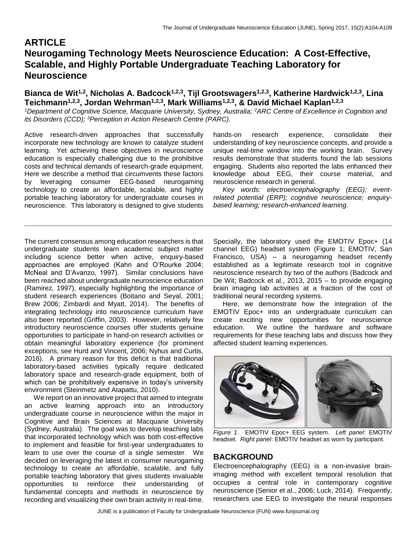# **ARTICLE Neurogaming Technology Meets Neuroscience Education: A Cost-Effective, Scalable, and Highly Portable Undergraduate Teaching Laboratory for Neuroscience**

**Bianca de Wit1,2 , Nicholas A. Badcock1,2,3, Tijl Grootswagers1,2,3, Katherine Hardwick1,2,3, Lina Teichmann1,2,3 , Jordan Wehrman1,2,3, Mark Williams1,2,3, & David Michael Kaplan1,2,3**

<sup>1</sup>Department of Cognitive Science, Macquarie University, Sydney, Australia; <sup>2</sup>ARC Centre of Excellence in Cognition and *its Disorders (CCD); <sup>3</sup>Perception in Action Research Centre (PARC).*

Active research-driven approaches that successfully incorporate new technology are known to catalyze student learning. Yet achieving these objectives in neuroscience education is especially challenging due to the prohibitive costs and technical demands of research-grade equipment. Here we describe a method that circumvents these factors by leveraging consumer EEG-based neurogaming technology to create an affordable, scalable, and highly portable teaching laboratory for undergraduate courses in neuroscience. This laboratory is designed to give students

hands-on research experience, consolidate their understanding of key neuroscience concepts, and provide a unique real-time window into the working brain. Survey results demonstrate that students found the lab sessions engaging. Students also reported the labs enhanced their knowledge about EEG, their course material, and neuroscience research in general.

 *Key words: electroencephalography (EEG); eventrelated potential (ERP); cognitive neuroscience; enquirybased learning; research-enhanced learning.*

The current consensus among education researchers is that undergraduate students learn academic subject matter including science better when active, enquiry-based approaches are employed (Kahn and O'Rourke 2004; McNeal and D'Avanzo, 1997). Similar conclusions have been reached about undergraduate neuroscience education (Ramirez, 1997), especially highlighting the importance of student research experiences (Boitano and Seyal, 2001; Brew 2006; Zimbardi and Myatt, 2014). The benefits of integrating technology into neuroscience curriculum have also been reported (Griffin, 2003). However, relatively few introductory neuroscience courses offer students genuine opportunities to participate in hand-on research activities or obtain meaningful laboratory experience (for prominent exceptions, see Hurd and Vincent, 2006; Nyhus and Curtis, 2016). A primary reason for this deficit is that traditional laboratory-based activities typically require dedicated laboratory space and research-grade equipment, both of which can be prohibitively expensive in today's university environment (Steinmetz and Atapattu, 2010).

 We report on an innovative project that aimed to integrate an active learning approach into an introductory undergraduate course in neuroscience within the major in Cognitive and Brain Sciences at Macquarie University (Sydney, Australia). The goal was to develop teaching labs that incorporated technology which was both cost-effective to implement and feasible for first-year undergraduates to learn to use over the course of a single semester. We decided on leveraging the latest in consumer neurogaming technology to create an affordable, scalable, and fully portable teaching laboratory that gives students invaluable opportunities to reinforce their understanding of fundamental concepts and methods in neuroscience by recording and visualizing their own brain activity in real-time.

Specially, the laboratory used the EMOTIV Epoc+ (14 channel EEG) headset system (Figure 1; EMOTIV, San Francisco, USA) – a neurogaming headset recently established as a legitimate research tool in cognitive neuroscience research by two of the authors (Badcock and De Wit; Badcock et al., 2013, 2015 – to provide engaging brain imaging lab activities at a fraction of the cost of traditional neural recording systems.

 Here, we demonstrate how the integration of the EMOTIV Epoc+ into an undergraduate curriculum can create exciting new opportunities for neuroscience education. We outline the hardware and software requirements for these teaching labs and discuss how they affected student learning experiences.



*Figure 1.* EMOTIV Epoc+ EEG system. *Left panel*: EMOTIV headset. *Right panel*: EMOTIV headset as worn by participant.

# **BACKGROUND**

Electroencephalography (EEG) is a non-invasive brainimaging method with excellent temporal resolution that occupies a central role in contemporary cognitive neuroscience (Senior et al., 2006; Luck, 2014). Frequently, researchers use EEG to investigate the neural responses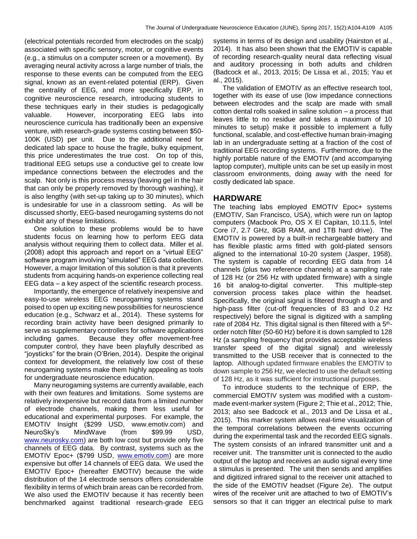(electrical potentials recorded from electrodes on the scalp) associated with specific sensory, motor, or cognitive events (e.g., a stimulus on a computer screen or a movement). By averaging neural activity across a large number of trials, the response to these events can be computed from the EEG signal, known as an event-related potential (ERP). Given the centrality of EEG, and more specifically ERP, in cognitive neuroscience research, introducing students to these techniques early in their studies is pedagogically valuable. However, incorporating EEG labs into neuroscience curricula has traditionally been an expensive venture, with research-grade systems costing between \$50- 100K (USD) per unit. Due to the additional need for dedicated lab space to house the fragile, bulky equipment, this price underestimates the true cost. On top of this, traditional EEG setups use a conductive gel to create low impedance connections between the electrodes and the scalp. Not only is this process messy (leaving gel in the hair that can only be properly removed by thorough washing), it is also lengthy (with set-up taking up to 30 minutes), which is undesirable for use in a classroom setting. As will be discussed shortly, EEG-based neurogaming systems do not exhibit any of these limitations.

 One solution to these problems would be to have students focus on learning how to perform EEG data analysis without requiring them to collect data. Miller et al. (2008) adopt this approach and report on a "virtual EEG" software program involving "simulated" EEG data collection. However, a major limitation of this solution is that it prevents students from acquiring hands-on experience collecting real EEG data – a key aspect of the scientific research process.

 Importantly, the emergence of relatively inexpensive and easy-to-use wireless EEG neurogaming systems stand poised to open up exciting new possibilities for neuroscience education (e.g., Schwarz et al., 2014). These systems for recording brain activity have been designed primarily to serve as supplementary controllers for software applications including games. Because they offer movement-free computer control, they have been playfully described as "joysticks" for the brain (O'Brien, 2014). Despite the original context for development, the relatively low cost of these neurogaming systems make them highly appealing as tools for undergraduate neuroscience education.

 Many neurogaming systems are currently available, each with their own features and limitations. Some systems are relatively inexpensive but record data from a limited number of electrode channels, making them less useful for educational and experimental purposes. For example, the EMOTIV Insight (\$299 USD, www.emotiv.com) and NeuroSky's MindWave (from \$99.99 USD, [www.neurosky.com\)](http://www.neurosky.com/) are both low cost but provide only five channels of EEG data. By contrast, systems such as the EMOTIV Epoc+ (\$799 USD, [www.emotiv.com\)](http://www.emotiv.com/) are more expensive but offer 14 channels of EEG data. We used the EMOTIV Epoc+ (hereafter EMOTIV) because the wide distribution of the 14 electrode sensors offers considerable flexibility in terms of which brain areas can be recorded from. We also used the EMOTIV because it has recently been benchmarked against traditional research-grade EEG systems in terms of its design and usability (Hairston et al., 2014). It has also been shown that the EMOTIV is capable of recording research-quality neural data reflecting visual and auditory processing in both adults and children (Badcock et al., 2013, 2015; De Lissa et al., 2015; Yau et al., 2015).

 The validation of EMOTIV as an effective research tool, together with its ease of use (low impedance connections between electrodes and the scalp are made with small cotton dental rolls soaked in saline solution – a process that leaves little to no residue and takes a maximum of 10 minutes to setup) make it possible to implement a fully functional, scalable, and cost-effective human brain-imaging lab in an undergraduate setting at a fraction of the cost of traditional EEG recording systems. Furthermore, due to the highly portable nature of the EMOTIV (and accompanying laptop computer), multiple units can be set up easily in most classroom environments, doing away with the need for costly dedicated lab space.

#### **HARDWARE**

The teaching labs employed EMOTIV Epoc+ systems (EMOTIV, San Francisco, USA), which were run on laptop computers (Macbook Pro, OS X El Capitan, 10.11.5, Intel Core i7, 2.7 GHz, 8GB RAM, and 1TB hard drive). The EMOTIV is powered by a built-in rechargeable battery and has flexible plastic arms fitted with gold-plated sensors aligned to the international 10-20 system (Jasper, 1958). The system is capable of recording EEG data from 14 channels (plus two reference channels) at a sampling rate of 128 Hz (or 256 Hz with updated firmware) with a single 16 bit analog-to-digital converter. This multiple-step conversion process takes place within the headset. Specifically, the original signal is filtered through a low and high-pass filter (cut-off frequencies of 83 and 0.2 Hz respectively) before the signal is digitized with a sampling rate of 2084 Hz. This digital signal is then filtered with a 5<sup>th</sup>order notch filter (50-60 Hz) before it is down sampled to 128 Hz (a sampling frequency that provides acceptable wireless transfer speed of the digital signal) and wirelessly transmitted to the USB receiver that is connected to the laptop. Although updated firmware enables the EMOTIV to down sample to 256 Hz, we elected to use the default setting of 128 Hz, as it was sufficient for instructional purposes.

 To introduce students to the technique of ERP, the commercial EMOTIV system was modified with a custommade event-marker system (Figure 2; Thie et al., 2012; Thie, 2013; also see Badcock et al., 2013 and De Lissa et al., 2015). This marker system allows real-time visualization of the temporal correlations between the events occurring during the experimental task and the recorded EEG signals. The system consists of an infrared transmitter unit and a receiver unit. The transmitter unit is connected to the audio output of the laptop and receives an audio signal every time a stimulus is presented. The unit then sends and amplifies and digitized infrared signal to the receiver unit attached to the side of the EMOTIV headset (Figure 2e). The output wires of the receiver unit are attached to two of EMOTIV's sensors so that it can trigger an electrical pulse to mark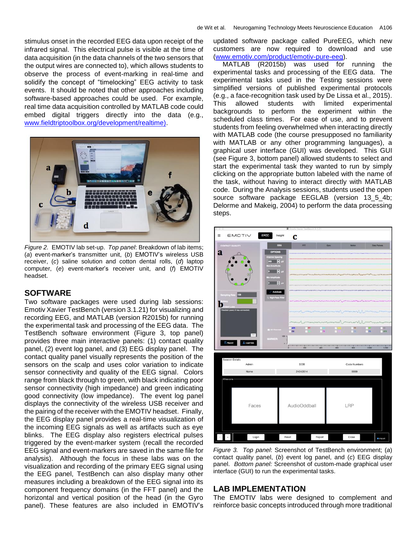stimulus onset in the recorded EEG data upon receipt of the infrared signal. This electrical pulse is visible at the time of data acquisition (in the data channels of the two sensors that the output wires are connected to), which allows students to observe the process of event-marking in real-time and solidify the concept of "timelocking" EEG activity to task events. It should be noted that other approaches including software-based approaches could be used. For example, real time data acquisition controlled by MATLAB code could embed digital triggers directly into the data (e.g., [www.fieldtriptoolbox.org/development/realtime\).](http://www.fieldtriptoolbox.org/development/realtime))



*Figure 2.* EMOTIV lab set-up. *Top panel*: Breakdown of lab items; (*a*) event-marker's transmitter unit, (*b*) EMOTIV's wireless USB receiver, (*c*) saline solution and cotton dental rolls, (*d*) laptop computer, (*e*) event-marker's receiver unit, and (*f*) EMOTIV headset.

## **SOFTWARE**

Two software packages were used during lab sessions: Emotiv Xavier TestBench (version 3.1.21) for visualizing and recording EEG, and MATLAB (version R2015b) for running the experimental task and processing of the EEG data. The TestBench software environment (Figure 3, top panel) provides three main interactive panels: (1) contact quality panel, (2) event log panel, and (3) EEG display panel. The contact quality panel visually represents the position of the sensors on the scalp and uses color variation to indicate sensor connectivity and quality of the EEG signal. Colors range from black through to green, with black indicating poor sensor connectivity (high impedance) and green indicating good connectivity (low impedance). The event log panel displays the connectivity of the wireless USB receiver and the pairing of the receiver with the EMOTIV headset. Finally, the EEG display panel provides a real-time visualization of the incoming EEG signals as well as artifacts such as eye blinks. The EEG display also registers electrical pulses triggered by the event-marker system (recall the recorded EEG signal and event-markers are saved in the same file for analysis). Although the focus in these labs was on the visualization and recording of the primary EEG signal using the EEG panel, TestBench can also display many other measures including a breakdown of the EEG signal into its component frequency domains (in the FFT panel) and the horizontal and vertical position of the head (in the Gyro panel). These features are also included in EMOTIV's updated software package called PureEEG, which new customers are now required to download and use [\(www.emotiv.com/product/emotiv-pure-eeg\)](http://www.emotiv.com/product/emotiv-pure-eeg).

 MATLAB (R2015b) was used for running the experimental tasks and processing of the EEG data. The experimental tasks used in the Testing sessions were simplified versions of published experimental protocols (e.g., a face-recognition task used by De Lissa et al., 2015). This allowed students with limited experimental backgrounds to perform the experiment within the scheduled class times. For ease of use, and to prevent students from feeling overwhelmed when interacting directly with MATLAB code (the course presupposed no familiarity with MATLAB or any other programming languages), a graphical user interface (GUI) was developed. This GUI (see Figure 3, bottom panel) allowed students to select and start the experimental task they wanted to run by simply clicking on the appropriate button labeled with the name of the task, without having to interact directly with MATLAB code. During the Analysis sessions, students used the open source software package EEGLAB (version 13\_5\_4b; Delorme and Makeig, 2004) to perform the data processing steps.



*Figure 3. Top panel*: Screenshot of TestBench environment; (*a*) contact quality panel, (*b*) event log panel, and (*c*) EEG display panel. *Bottom panel:* Screenshot of custom-made graphical user interface (GUI) to run the experimental tasks.

#### **LAB IMPLEMENTATION**

The EMOTIV labs were designed to complement and reinforce basic concepts introduced through more traditional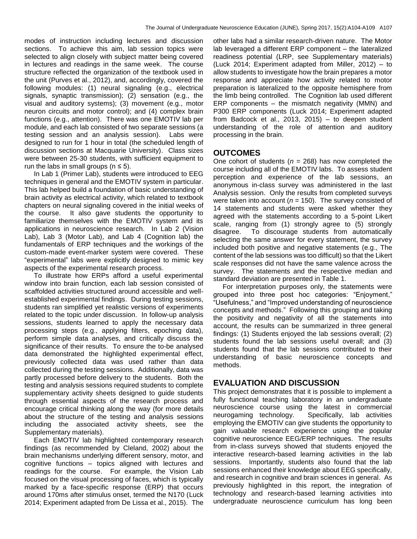modes of instruction including lectures and discussion sections. To achieve this aim, lab session topics were selected to align closely with subject matter being covered in lectures and readings in the same week. The course structure reflected the organization of the textbook used in the unit (Purves et al., 2012), and, accordingly, covered the following modules: (1) neural signaling (e.g., electrical signals, synaptic transmission); (2) sensation (e.g., the visual and auditory systems); (3) movement (e.g., motor neuron circuits and motor control); and (4) complex brain functions (e.g., attention). There was one EMOTIV lab per module, and each lab consisted of two separate sessions (a testing session and an analysis session). Labs were designed to run for 1 hour in total (the scheduled length of discussion sections at Macquarie University). Class sizes were between 25-30 students, with sufficient equipment to run the labs in small groups ( $n \leq 5$ ).

 In Lab 1 (Primer Lab), students were introduced to EEG techniques in general and the EMOTIV system in particular. This lab helped build a foundation of basic understanding of brain activity as electrical activity, which related to textbook chapters on neural signaling covered in the initial weeks of the course. It also gave students the opportunity to familiarize themselves with the EMOTIV system and its applications in neuroscience research. In Lab 2 (Vision Lab), Lab 3 (Motor Lab), and Lab 4 (Cognition lab) the fundamentals of ERP techniques and the workings of the custom-made event-marker system were covered. These "experimental" labs were explicitly designed to mimic key aspects of the experimental research process.

 To illustrate how ERPs afford a useful experimental window into brain function, each lab session consisted of scaffolded activities structured around accessible and wellestablished experimental findings. During testing sessions, students ran simplified yet realistic versions of experiments related to the topic under discussion. In follow-up analysis sessions, students learned to apply the necessary data processing steps (e.g., applying filters, epoching data), perform simple data analyses, and critically discuss the significance of their results. To ensure the to-be analysed data demonstrated the highlighted experimental effect, previously collected data was used rather than data collected during the testing sessions. Additionally, data was partly processed before delivery to the students. Both the testing and analysis sessions required students to complete supplementary activity sheets designed to guide students through essential aspects of the research process and encourage critical thinking along the way (for more details about the structure of the testing and analysis sessions including the associated activity sheets, see the Supplementary materials).

 Each EMOTIV lab highlighted contemporary research findings (as recommended by Cleland, 2002) about the brain mechanisms underlying different sensory, motor, and cognitive functions – topics aligned with lectures and readings for the course. For example, the Vision Lab focused on the visual processing of faces, which is typically marked by a face-specific response (ERP) that occurs around 170ms after stimulus onset, termed the N170 (Luck 2014; Experiment adapted from De Lissa et al., 2015). The other labs had a similar research-driven nature. The Motor lab leveraged a different ERP component – the lateralized readiness potential (LRP, see Supplementary materials) (Luck 2014; Experiment adapted from Miller, 2012) – to allow students to investigate how the brain prepares a motor response and appreciate how activity related to motor preparation is lateralized to the opposite hemisphere from the limb being controlled. The Cognition lab used different ERP components – the mismatch negativity (MMN) and P300 ERP components (Luck 2014; Experiment adapted from Badcock et al., 2013, 2015) – to deepen student understanding of the role of attention and auditory processing in the brain.

# **OUTCOMES**

One cohort of students (*n* = 268) has now completed the course including all of the EMOTIV labs. To assess student perception and experience of the lab sessions, an anonymous in-class survey was administered in the last Analysis session. Only the results from completed surveys were taken into account ( $n = 150$ ). The survey consisted of 14 statements and students were asked whether they agreed with the statements according to a 5-point Likert scale, ranging from (1) strongly agree to (5) strongly disagree. To discourage students from automatically selecting the same answer for every statement, the survey included both positive and negative statements (e.g., The content of the lab sessions was too difficult) so that the Likert scale responses did not have the same valence across the survey. The statements and the respective median and standard deviation are presented in Table 1.

 For interpretation purposes only, the statements were grouped into three post hoc categories: "Enjoyment," "Usefulness," and "Improved understanding of neuroscience concepts and methods." Following this grouping and taking the positivity and negativity of all the statements into account, the results can be summarized in three general findings: (1) Students enjoyed the lab sessions overall; (2) students found the lab sessions useful overall; and (3) students found that the lab sessions contributed to their understanding of basic neuroscience concepts and methods.

# **EVALUATION AND DISCUSSION**

This project demonstrates that it is possible to implement a fully functional teaching laboratory in an undergraduate neuroscience course using the latest in commercial neurogaming technology. Specifically, lab activities employing the EMOTIV can give students the opportunity to gain valuable research experience using the popular cognitive neuroscience EEG/ERP techniques. The results from in-class surveys showed that students enjoyed the interactive research-based learning activities in the lab sessions. Importantly, students also found that the lab sessions enhanced their knowledge about EEG specifically, and research in cognitive and brain sciences in general. As previously highlighted in this report, the integration of technology and research-based learning activities into undergraduate neuroscience curriculum has long been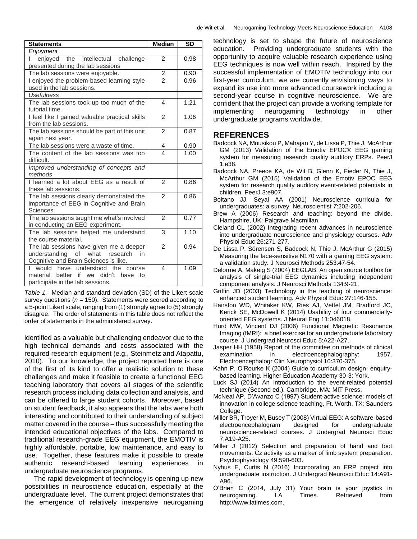| de Wit et al. |  | Neurogaming Technology Meets Neuroscience Education A108 |  |
|---------------|--|----------------------------------------------------------|--|
|               |  |                                                          |  |

| <b>Statements</b>                              | <b>Median</b>  | <b>SD</b> |
|------------------------------------------------|----------------|-----------|
| Enjoyment                                      |                |           |
| enjoyed the intellectual challenge             | 2              | 0.98      |
| presented during the lab sessions              |                |           |
| The lab sessions were enjoyable.               | $\frac{2}{2}$  | 0.90      |
| I enjoyed the problem-based learning style     |                | 0.96      |
| used in the lab sessions.                      |                |           |
| <b>Usefulness</b>                              |                |           |
| The lab sessions took up too much of the       | 4              | 1.21      |
| tutorial time.                                 |                |           |
| I feel like I gained valuable practical skills | 2              | 1.06      |
| from the lab sessions.                         |                |           |
| The lab sessions should be part of this unit   | $\overline{2}$ | 0.87      |
| again next year.                               |                |           |
| The lab sessions were a waste of time.         | $\frac{4}{4}$  | 0.90      |
| The content of the lab sessions was too        |                | 1.00      |
| difficult.                                     |                |           |
| Improved understanding of concepts and         |                |           |
| methods                                        |                |           |
| I learned a lot about EEG as a result of       | $\overline{2}$ | 0.86      |
| these lab sessions.                            |                |           |
| The lab sessions clearly demonstrated the      | 2              | 0.86      |
| importance of EEG in Cognitive and Brain       |                |           |
| Sciences.                                      |                |           |
| The lab sessions taught me what's involved     | $\mathfrak{p}$ | 0.77      |
| in conducting an EEG experiment.               |                |           |
| The lab sessions helped me understand          | 3              | 1.10      |
| the course material.                           |                |           |
| The lab sessions have given me a deeper        | $\mathfrak{p}$ | 0.94      |
| understanding of what research<br>in           |                |           |
| Cognitive and Brain Sciences is like.          |                |           |
| would<br>understood<br>have<br>the<br>course   | 4              | 1.09      |
| better if we didn't<br>material<br>have<br>tο  |                |           |
| participate in the lab sessions.               |                |           |

*Table 1.* Median and standard deviation (SD) of the Likert scale survey questions (*n* = 150). Statements were scored according to a 5-point Likert scale, ranging from (1) strongly agree to (5) strongly disagree. The order of statements in this table does not reflect the order of statements in the administered survey.

identified as a valuable but challenging endeavor due to the high technical demands and costs associated with the required research equipment (e.g., Steinmetz and Atapattu, 2010). To our knowledge, the project reported here is one of the first of its kind to offer a realistic solution to these challenges and make it feasible to create a functional EEG teaching laboratory that covers all stages of the scientific research process including data collection and analysis, and can be offered to large student cohorts. Moreover, based on student feedback, it also appears that the labs were both interesting and contributed to their understanding of subject matter covered in the course – thus successfully meeting the intended educational objectives of the labs. Compared to traditional research-grade EEG equipment, the EMOTIV is highly affordable, portable, low maintenance, and easy to use. Together, these features make it possible to create authentic research-based learning experiences in undergraduate neuroscience programs.

 The rapid development of technology is opening up new possibilities in neuroscience education, especially at the undergraduate level. The current project demonstrates that the emergence of relatively inexpensive neurogaming technology is set to shape the future of neuroscience education. Providing undergraduate students with the opportunity to acquire valuable research experience using EEG techniques is now well within reach. Inspired by the successful implementation of EMOTIV technology into our first-year curriculum, we are currently envisioning ways to expand its use into more advanced coursework including a second-year course in cognitive neuroscience. We are confident that the project can provide a working template for implementing neurogaming technology in other undergraduate programs worldwide.

## **REFERENCES**

- Badcock NA, Mousikou P, Mahajan Y, de Lissa P, Thie J, McArthur GM (2013) Validation of the Emotiv EPOC® EEG gaming system for measuring research quality auditory ERPs. PeerJ 1:e38.
- Badcock NA, Preece KA, de Wit B, Glenn K, Fieder N, Thie J, McArthur GM (2015) Validation of the Emotiv EPOC EEG system for research quality auditory event-related potentials in children. PeerJ 3:e907.
- Boitano JJ, Seyal AA (2001) Neuroscience curricula for undergraduates: a survey. Neuroscientist *7*:202-206.
- Brew A (2006) Research and teaching: beyond the divide. Hampshire, UK: Palgrave Macmillan.
- Cleland CL (2002) Integrating recent advances in neuroscience into undergraduate neuroscience and physiology courses. Adv Physiol Educ 26:271-277.
- De Lissa P, Sörensen S, Badcock N, Thie J, McArthur G (2015) Measuring the face-sensitive N170 with a gaming EEG system: a validation study. J Neurosci Methods 253:47-54.
- Delorme A, Makeig S (2004) EEGLAB: An open source toolbox for analysis of single-trial EEG dynamics including independent component analysis. J Neurosci Methods 134:9-21.
- Griffin JD (2003) Technology in the teaching of neuroscience: enhanced student learning. Adv Physiol Educ 27:146-155.
- Hairston WD, Whitaker KW, Ries AJ, Vettel JM, Bradford JC, Kerick SE, McDowell K (2014) Usability of four commerciallyoriented EEG systems. J Neural Eng 11:046018.
- Hurd MW, Vincent DJ (2006) Functional Magnetic Resonance Imaging (fMRI): a brief exercise for an undergraduate laboratory course. J Undergrad Neurosci Educ 5:A22-A27.
- Jasper HH (1958) Report of the committee on methods of clinical examination in electroencephalography: 1957. Electroencephalogr Clin Neurophysiol 10:370-375.
- Kahn P, O'Rourke K (2004) Guide to curriculum design: enquirybased learning. Higher Education Academy 30-3: York.
- Luck SJ (2014) An introduction to the event-related potential technique (Second ed.). Cambridge, MA: MIT Press.
- McNeal AP, D'Avanzo C (1997) Student-active science: models of innovation in college science teaching, Ft. Worth, TX: Saunders College.
- Miller BR, Troyer M, Busey T (2008) Virtual EEG: A software-based electroencephalogram designed for undergraduate neuroscience-related courses. J Undergrad Neurosci Educ 7:A19-A25.
- Miller J (2012) Selection and preparation of hand and foot movements: Cz activity as a marker of limb system preparation. Psychophysiology 49:590-603.
- Nyhus E, Curtis N (2016) Incorporating an ERP project into undergraduate instruction. J Undergrad Neurosci Educ 14:A91- A96.
- O'Brien C (2014, July 31) Your brain is your joystick in neurogaming. LA Times. Retrieved from http://www.latimes.com.